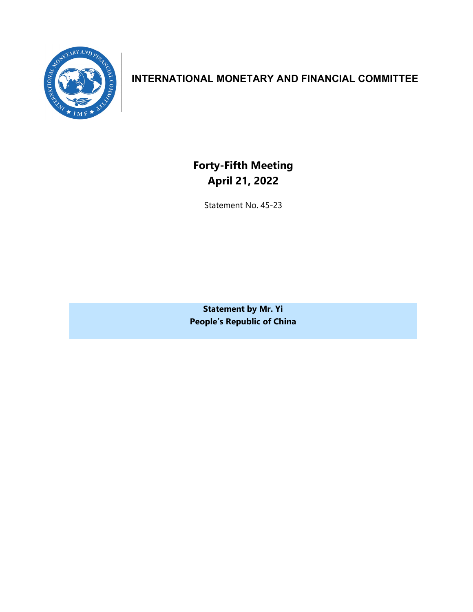

# **INTERNATIONAL MONETARY AND FINANCIAL COMMITTEE**

**Forty-Fifth Meeting April 21, 2022**

Statement No. 45-23

**Statement by Mr. Yi People's Republic of China**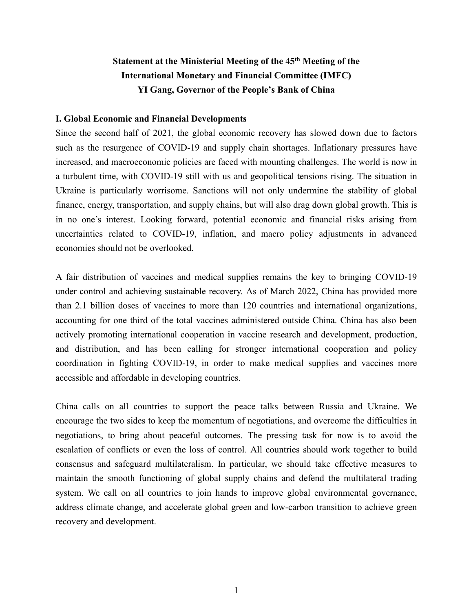## **Statement at the Ministerial Meeting of the 45th Meeting of the International Monetary and Financial Committee (IMFC) YI Gang, Governor of the People's Bank of China**

### **I. Global Economic and Financial Developments**

Since the second half of 2021, the global economic recovery has slowed down due to factors such as the resurgence of COVID-19 and supply chain shortages. Inflationary pressures have increased, and macroeconomic policies are faced with mounting challenges. The world is now in a turbulent time, with COVID-19 still with us and geopolitical tensions rising. The situation in Ukraine is particularly worrisome. Sanctions will not only undermine the stability of global finance, energy, transportation, and supply chains, but will also drag down global growth. This is in no one's interest. Looking forward, potential economic and financial risks arising from uncertainties related to COVID-19, inflation, and macro policy adjustments in advanced economies should not be overlooked.

A fair distribution of vaccines and medical supplies remains the key to bringing COVID-19 under control and achieving sustainable recovery. As of March 2022, China has provided more than 2.1 billion doses of vaccines to more than 120 countries and international organizations, accounting for one third of the total vaccines administered outside China. China has also been actively promoting international cooperation in vaccine research and development, production, and distribution, and has been calling for stronger international cooperation and policy coordination in fighting COVID-19, in order to make medical supplies and vaccines more accessible and affordable in developing countries.

China calls on all countries to support the peace talks between Russia and Ukraine. We encourage the two sides to keep the momentum of negotiations, and overcome the difficulties in negotiations, to bring about peaceful outcomes. The pressing task for now is to avoid the escalation of conflicts or even the loss of control. All countries should work together to build consensus and safeguard multilateralism. In particular, we should take effective measures to maintain the smooth functioning of global supply chains and defend the multilateral trading system. We call on all countries to join hands to improve global environmental governance, address climate change, and accelerate global green and low-carbon transition to achieve green recovery and development.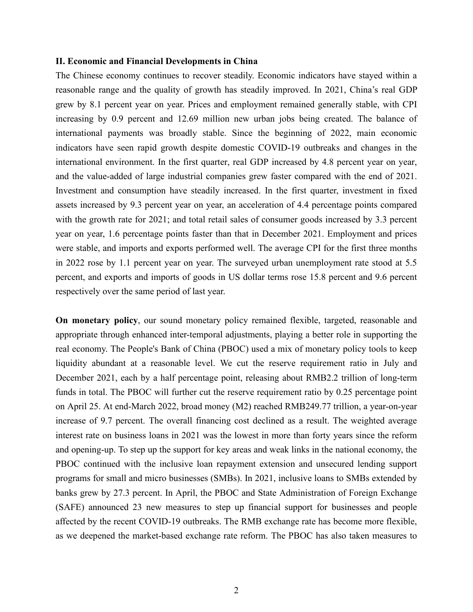#### **II. Economic and Financial Developments in China**

The Chinese economy continues to recover steadily. Economic indicators have stayed within a reasonable range and the quality of growth has steadily improved. In 2021, China's real GDP grew by 8.1 percent year on year. Prices and employment remained generally stable, with CPI increasing by 0.9 percent and 12.69 million new urban jobs being created. The balance of international payments was broadly stable. Since the beginning of 2022, main economic indicators have seen rapid growth despite domestic COVID-19 outbreaks and changes in the international environment. In the first quarter, real GDP increased by 4.8 percent year on year, and the value-added of large industrial companies grew faster compared with the end of 2021. Investment and consumption have steadily increased. In the first quarter, investment in fixed assets increased by 9.3 percent year on year, an acceleration of 4.4 percentage points compared with the growth rate for 2021; and total retail sales of consumer goods increased by 3.3 percent year on year, 1.6 percentage points faster than that in December 2021. Employment and prices were stable, and imports and exports performed well. The average CPI for the first three months in 2022 rose by 1.1 percent year on year. The surveyed urban unemployment rate stood at 5.5 percent, and exports and imports of goods in US dollar terms rose 15.8 percent and 9.6 percent respectively over the same period of last year.

**On monetary policy**, our sound monetary policy remained flexible, targeted, reasonable and appropriate through enhanced inter-temporal adjustments, playing a better role in supporting the real economy. The People's Bank of China (PBOC) used a mix of monetary policy tools to keep liquidity abundant at a reasonable level. We cut the reserve requirement ratio in July and December 2021, each by a half percentage point, releasing about RMB2.2 trillion of long-term funds in total. The PBOC will further cut the reserve requirement ratio by 0.25 percentage point on April 25. At end-March 2022, broad money (M2) reached RMB249.77 trillion, a year-on-year increase of 9.7 percent. The overall financing cost declined as a result. The weighted average interest rate on business loans in 2021 was the lowest in more than forty years since the reform and opening-up. To step up the support for key areas and weak links in the national economy, the PBOC continued with the inclusive loan repayment extension and unsecured lending support programs for small and micro businesses (SMBs). In 2021, inclusive loans to SMBs extended by banks grew by 27.3 percent. In April, the PBOC and State Administration of Foreign Exchange (SAFE) announced 23 new measures to step up financial support for businesses and people affected by the recent COVID-19 outbreaks. The RMB exchange rate has become more flexible, as we deepened the market-based exchange rate reform. The PBOC has also taken measures to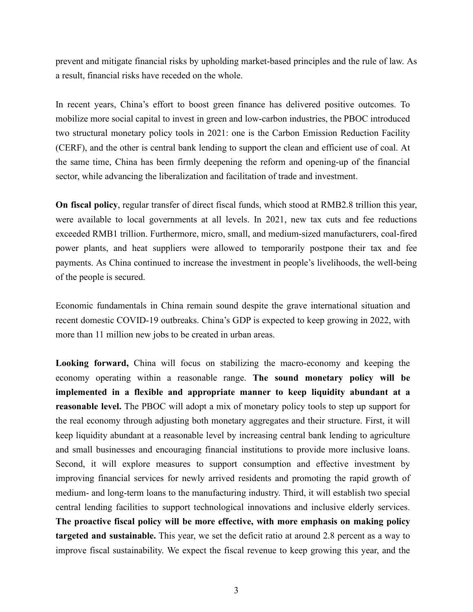prevent and mitigate financial risks by upholding market-based principles and the rule of law. As a result, financial risks have receded on the whole.

In recent years, China's effort to boost green finance has delivered positive outcomes. To mobilize more social capital to invest in green and low-carbon industries, the PBOC introduced two structural monetary policy tools in 2021: one is the Carbon Emission Reduction Facility (CERF), and the other is central bank lending to support the clean and efficient use of coal. At the same time, China has been firmly deepening the reform and opening-up of the financial sector, while advancing the liberalization and facilitation of trade and investment.

**On fiscal policy**, regular transfer of direct fiscal funds, which stood at RMB2.8 trillion this year, were available to local governments at all levels. In 2021, new tax cuts and fee reductions exceeded RMB1 trillion. Furthermore, micro, small, and medium-sized manufacturers, coal-fired power plants, and heat suppliers were allowed to temporarily postpone their tax and fee payments. As China continued to increase the investment in people's livelihoods, the well-being of the people is secured.

Economic fundamentals in China remain sound despite the grave international situation and recent domestic COVID-19 outbreaks. China's GDP is expected to keep growing in 2022, with more than 11 million new jobs to be created in urban areas.

**Looking forward,** China will focus on stabilizing the macro-economy and keeping the economy operating within a reasonable range. **The sound monetary policy will be implemented in a flexible and appropriate manner to keep liquidity abundant at a reasonable level.** The PBOC will adopt a mix of monetary policy tools to step up support for the real economy through adjusting both monetary aggregates and their structure. First, it will keep liquidity abundant at a reasonable level by increasing central bank lending to agriculture and small businesses and encouraging financial institutions to provide more inclusive loans. Second, it will explore measures to support consumption and effective investment by improving financial services for newly arrived residents and promoting the rapid growth of medium- and long-term loans to the manufacturing industry. Third, it will establish two special central lending facilities to support technological innovations and inclusive elderly services. **The proactive fiscal policy will be more effective, with more emphasis on making policy targeted and sustainable.** This year, we set the deficit ratio at around 2.8 percent as a way to improve fiscal sustainability. We expect the fiscal revenue to keep growing this year, and the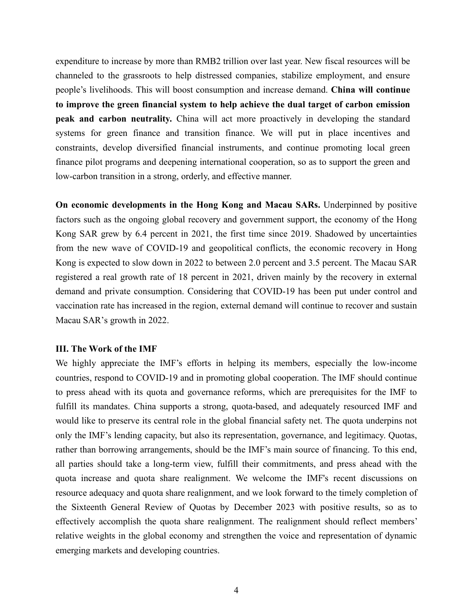expenditure to increase by more than RMB2 trillion over last year. New fiscal resources will be channeled to the grassroots to help distressed companies, stabilize employment, and ensure people's livelihoods. This will boost consumption and increase demand. **China will continue to improve the green financial system to help achieve the dual target of carbon emission peak and carbon neutrality.** China will act more proactively in developing the standard systems for green finance and transition finance. We will put in place incentives and constraints, develop diversified financial instruments, and continue promoting local green finance pilot programs and deepening international cooperation, so as to support the green and low-carbon transition in a strong, orderly, and effective manner.

**On economic developments in the Hong Kong and Macau SARs.** Underpinned by positive factors such as the ongoing global recovery and government support, the economy of the Hong Kong SAR grew by 6.4 percent in 2021, the first time since 2019. Shadowed by uncertainties from the new wave of COVID-19 and geopolitical conflicts, the economic recovery in Hong Kong is expected to slow down in 2022 to between 2.0 percent and 3.5 percent. The Macau SAR registered a real growth rate of 18 percent in 2021, driven mainly by the recovery in external demand and private consumption. Considering that COVID-19 has been put under control and vaccination rate has increased in the region, external demand will continue to recover and sustain Macau SAR's growth in 2022.

#### **III. The Work of the IMF**

We highly appreciate the IMF's efforts in helping its members, especially the low-income countries, respond to COVID-19 and in promoting global cooperation. The IMF should continue to press ahead with its quota and governance reforms, which are prerequisites for the IMF to fulfill its mandates. China supports a strong, quota-based, and adequately resourced IMF and would like to preserve its central role in the global financial safety net. The quota underpins not only the IMF's lending capacity, but also its representation, governance, and legitimacy. Quotas, rather than borrowing arrangements, should be the IMF's main source of financing. To this end, all parties should take a long-term view, fulfill their commitments, and press ahead with the quota increase and quota share realignment. We welcome the IMF's recent discussions on resource adequacy and quota share realignment, and we look forward to the timely completion of the Sixteenth General Review of Quotas by December 2023 with positive results, so as to effectively accomplish the quota share realignment. The realignment should reflect members' relative weights in the global economy and strengthen the voice and representation of dynamic emerging markets and developing countries.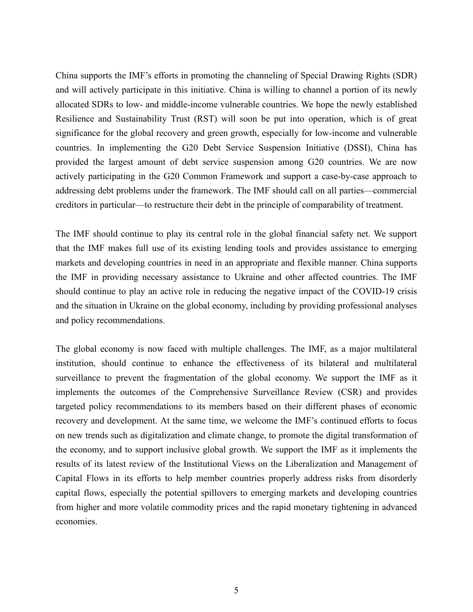China supports the IMF's efforts in promoting the channeling of Special Drawing Rights (SDR) and will actively participate in this initiative. China is willing to channel a portion of its newly allocated SDRs to low- and middle-income vulnerable countries. We hope the newly established Resilience and Sustainability Trust (RST) will soon be put into operation, which is of great significance for the global recovery and green growth, especially for low-income and vulnerable countries. In implementing the G20 Debt Service Suspension Initiative (DSSI), China has provided the largest amount of debt service suspension among G20 countries. We are now actively participating in the G20 Common Framework and support a case-by-case approach to addressing debt problems under the framework. The IMF should call on all parties—commercial creditors in particular—to restructure their debt in the principle of comparability of treatment.

The IMF should continue to play its central role in the global financial safety net. We support that the IMF makes full use of its existing lending tools and provides assistance to emerging markets and developing countries in need in an appropriate and flexible manner. China supports the IMF in providing necessary assistance to Ukraine and other affected countries. The IMF should continue to play an active role in reducing the negative impact of the COVID-19 crisis and the situation in Ukraine on the global economy, including by providing professional analyses and policy recommendations.

The global economy is now faced with multiple challenges. The IMF, as a major multilateral institution, should continue to enhance the effectiveness of its bilateral and multilateral surveillance to prevent the fragmentation of the global economy. We support the IMF as it implements the outcomes of the Comprehensive Surveillance Review (CSR) and provides targeted policy recommendations to its members based on their different phases of economic recovery and development. At the same time, we welcome the IMF's continued efforts to focus on new trends such as digitalization and climate change, to promote the digital transformation of the economy, and to support inclusive global growth. We support the IMF as it implements the results of its latest review of the Institutional Views on the Liberalization and Management of Capital Flows in its efforts to help member countries properly address risks from disorderly capital flows, especially the potential spillovers to emerging markets and developing countries from higher and more volatile commodity prices and the rapid monetary tightening in advanced economies.